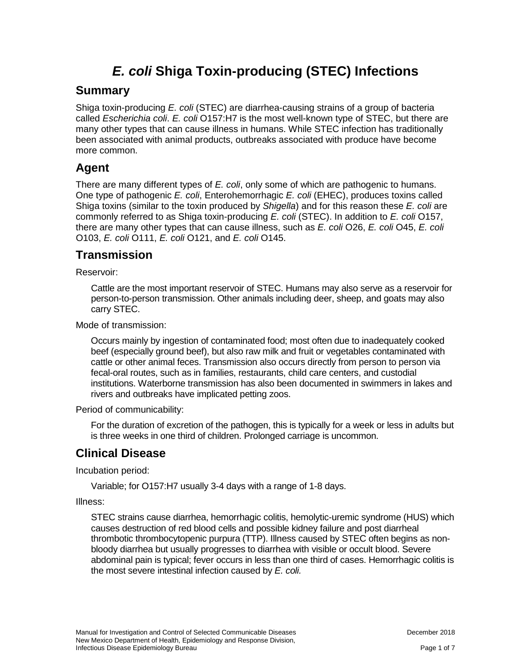# *E. coli* **Shiga Toxin-producing (STEC) Infections**

### **Summary**

Shiga toxin-producing *E. coli* (STEC) are diarrhea-causing strains of a group of bacteria called *Escherichia coli*. *E. coli* O157:H7 is the most well-known type of STEC, but there are many other types that can cause illness in humans. While STEC infection has traditionally been associated with animal products, outbreaks associated with produce have become more common.

# **Agent**

There are many different types of *E. coli*, only some of which are pathogenic to humans. One type of pathogenic *E. coli*, Enterohemorrhagic *E. coli* (EHEC), produces toxins called Shiga toxins (similar to the toxin produced by *Shigella*) and for this reason these *E. coli* are commonly referred to as Shiga toxin-producing *E. coli* (STEC). In addition to *E. coli* O157, there are many other types that can cause illness, such as *E. coli* O26, *E. coli* O45, *E. coli* O103, *E. coli* O111, *E. coli* O121, and *E. coli* O145.

### **Transmission**

Reservoir:

Cattle are the most important reservoir of STEC. Humans may also serve as a reservoir for person-to-person transmission. Other animals including deer, sheep, and goats may also carry STEC.

Mode of transmission:

Occurs mainly by ingestion of contaminated food; most often due to inadequately cooked beef (especially ground beef), but also raw milk and fruit or vegetables contaminated with cattle or other animal feces. Transmission also occurs directly from person to person via fecal-oral routes, such as in families, restaurants, child care centers, and custodial institutions. Waterborne transmission has also been documented in swimmers in lakes and rivers and outbreaks have implicated petting zoos.

Period of communicability:

For the duration of excretion of the pathogen, this is typically for a week or less in adults but is three weeks in one third of children. Prolonged carriage is uncommon.

# **Clinical Disease**

Incubation period:

Variable; for O157:H7 usually 3-4 days with a range of 1-8 days.

Illness:

STEC strains cause diarrhea, hemorrhagic colitis, hemolytic-uremic syndrome (HUS) which causes destruction of red blood cells and possible kidney failure and post diarrheal thrombotic thrombocytopenic purpura (TTP). Illness caused by STEC often begins as nonbloody diarrhea but usually progresses to diarrhea with visible or occult blood. Severe abdominal pain is typical; fever occurs in less than one third of cases. Hemorrhagic colitis is the most severe intestinal infection caused by *E. coli.*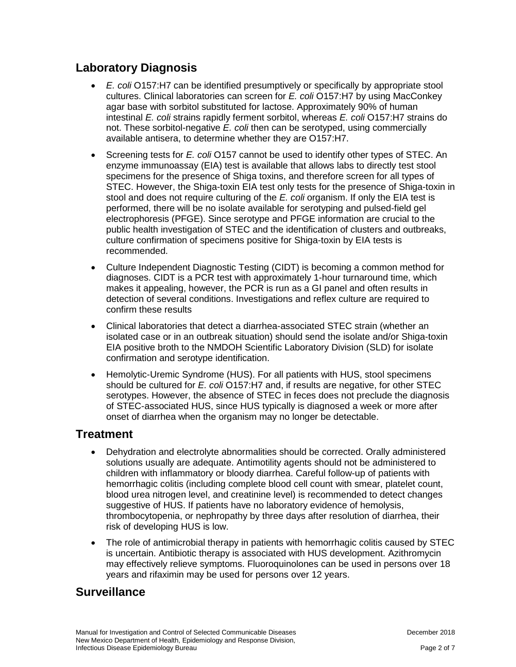# **Laboratory Diagnosis**

- *E. coli* O157:H7 can be identified presumptively or specifically by appropriate stool cultures. Clinical laboratories can screen for *E. coli* O157:H7 by using MacConkey agar base with sorbitol substituted for lactose. Approximately 90% of human intestinal *E. coli* strains rapidly ferment sorbitol, whereas *E. coli* O157:H7 strains do not. These sorbitol-negative *E. coli* then can be serotyped, using commercially available antisera, to determine whether they are O157:H7.
- Screening tests for *E. coli* O157 cannot be used to identify other types of STEC. An enzyme immunoassay (EIA) test is available that allows labs to directly test stool specimens for the presence of Shiga toxins, and therefore screen for all types of STEC. However, the Shiga-toxin EIA test only tests for the presence of Shiga-toxin in stool and does not require culturing of the *E. coli* organism. If only the EIA test is performed, there will be no isolate available for serotyping and pulsed-field gel electrophoresis (PFGE). Since serotype and PFGE information are crucial to the public health investigation of STEC and the identification of clusters and outbreaks, culture confirmation of specimens positive for Shiga-toxin by EIA tests is recommended.
- Culture Independent Diagnostic Testing (CIDT) is becoming a common method for diagnoses. CIDT is a PCR test with approximately 1-hour turnaround time, which makes it appealing, however, the PCR is run as a GI panel and often results in detection of several conditions. Investigations and reflex culture are required to confirm these results
- Clinical laboratories that detect a diarrhea-associated STEC strain (whether an isolated case or in an outbreak situation) should send the isolate and/or Shiga-toxin EIA positive broth to the NMDOH Scientific Laboratory Division (SLD) for isolate confirmation and serotype identification.
- Hemolytic-Uremic Syndrome (HUS). For all patients with HUS, stool specimens should be cultured for *E. coli* O157:H7 and, if results are negative, for other STEC serotypes. However, the absence of STEC in feces does not preclude the diagnosis of STEC-associated HUS, since HUS typically is diagnosed a week or more after onset of diarrhea when the organism may no longer be detectable.

# **Treatment**

- Dehydration and electrolyte abnormalities should be corrected. Orally administered solutions usually are adequate. Antimotility agents should not be administered to children with inflammatory or bloody diarrhea. Careful follow-up of patients with hemorrhagic colitis (including complete blood cell count with smear, platelet count, blood urea nitrogen level, and creatinine level) is recommended to detect changes suggestive of HUS. If patients have no laboratory evidence of hemolysis, thrombocytopenia, or nephropathy by three days after resolution of diarrhea, their risk of developing HUS is low.
- The role of antimicrobial therapy in patients with hemorrhagic colitis caused by STEC is uncertain. Antibiotic therapy is associated with HUS development. Azithromycin may effectively relieve symptoms. Fluoroquinolones can be used in persons over 18 years and rifaximin may be used for persons over 12 years.

# **Surveillance**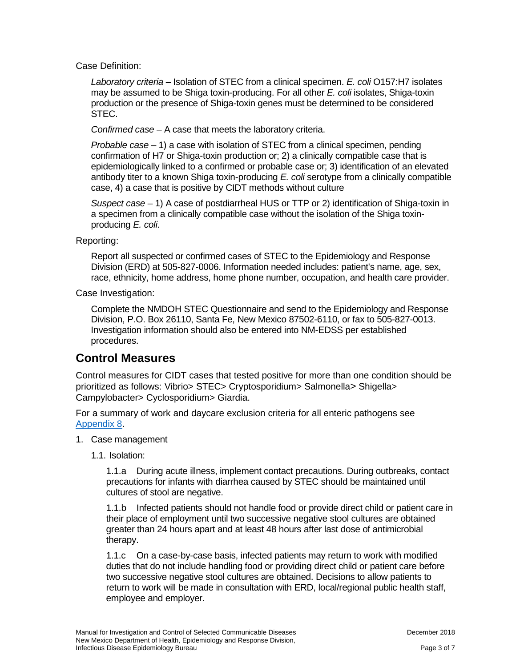Case Definition:

*Laboratory criteria* – Isolation of STEC from a clinical specimen. *E. coli* O157:H7 isolates may be assumed to be Shiga toxin-producing. For all other *E. coli* isolates, Shiga-toxin production or the presence of Shiga-toxin genes must be determined to be considered STEC.

*Confirmed case* – A case that meets the laboratory criteria.

*Probable case* – 1) a case with isolation of STEC from a clinical specimen, pending confirmation of H7 or Shiga-toxin production or; 2) a clinically compatible case that is epidemiologically linked to a confirmed or probable case or; 3) identification of an elevated antibody titer to a known Shiga toxin-producing *E. coli* serotype from a clinically compatible case, 4) a case that is positive by CIDT methods without culture

*Suspect case* – 1) A case of postdiarrheal HUS or TTP or 2) identification of Shiga-toxin in a specimen from a clinically compatible case without the isolation of the Shiga toxinproducing *E. coli*.

### Reporting:

Report all suspected or confirmed cases of STEC to the Epidemiology and Response Division (ERD) at 505-827-0006. Information needed includes: patient's name, age, sex, race, ethnicity, home address, home phone number, occupation, and health care provider.

Case Investigation:

Complete the NMDOH STEC Questionnaire and send to the Epidemiology and Response Division, P.O. Box 26110, Santa Fe, New Mexico 87502-6110, or fax to 505-827-0013. Investigation information should also be entered into NM-EDSS per established procedures.

# **Control Measures**

Control measures for CIDT cases that tested positive for more than one condition should be prioritized as follows: Vibrio> STEC> Cryptosporidium> Salmonella> Shigella> Campylobacter> Cyclosporidium> Giardia.

For a summary of work and daycare exclusion criteria for all enteric pathogens see [Appendix 8.](https://nmhealth.org/publication/view/general/5156/)

- 1. Case management
	- 1.1. Isolation:

1.1.a During acute illness, implement contact precautions. During outbreaks, contact precautions for infants with diarrhea caused by STEC should be maintained until cultures of stool are negative.

1.1.b Infected patients should not handle food or provide direct child or patient care in their place of employment until two successive negative stool cultures are obtained greater than 24 hours apart and at least 48 hours after last dose of antimicrobial therapy.

1.1.c On a case-by-case basis, infected patients may return to work with modified duties that do not include handling food or providing direct child or patient care before two successive negative stool cultures are obtained. Decisions to allow patients to return to work will be made in consultation with ERD, local/regional public health staff, employee and employer.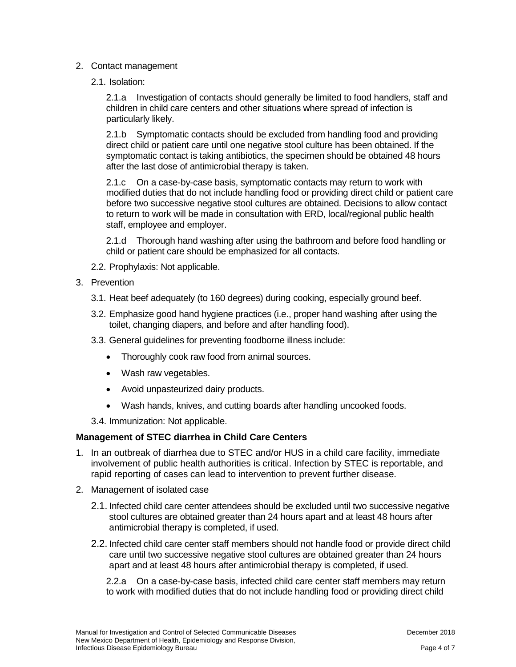#### 2. Contact management

2.1. Isolation:

2.1.a Investigation of contacts should generally be limited to food handlers, staff and children in child care centers and other situations where spread of infection is particularly likely.

2.1.b Symptomatic contacts should be excluded from handling food and providing direct child or patient care until one negative stool culture has been obtained. If the symptomatic contact is taking antibiotics, the specimen should be obtained 48 hours after the last dose of antimicrobial therapy is taken.

2.1.c On a case-by-case basis, symptomatic contacts may return to work with modified duties that do not include handling food or providing direct child or patient care before two successive negative stool cultures are obtained. Decisions to allow contact to return to work will be made in consultation with ERD, local/regional public health staff, employee and employer.

2.1.d Thorough hand washing after using the bathroom and before food handling or child or patient care should be emphasized for all contacts.

- 2.2. Prophylaxis: Not applicable.
- 3. Prevention
	- 3.1. Heat beef adequately (to 160 degrees) during cooking, especially ground beef.
	- 3.2. Emphasize good hand hygiene practices (i.e., proper hand washing after using the toilet, changing diapers, and before and after handling food).
	- 3.3. General guidelines for preventing foodborne illness include:
		- Thoroughly cook raw food from animal sources.
		- Wash raw vegetables.
		- Avoid unpasteurized dairy products.
		- Wash hands, knives, and cutting boards after handling uncooked foods.

3.4. Immunization: Not applicable.

#### **Management of STEC diarrhea in Child Care Centers**

- 1. In an outbreak of diarrhea due to STEC and/or HUS in a child care facility, immediate involvement of public health authorities is critical. Infection by STEC is reportable, and rapid reporting of cases can lead to intervention to prevent further disease.
- 2. Management of isolated case
	- 2.1. Infected child care center attendees should be excluded until two successive negative stool cultures are obtained greater than 24 hours apart and at least 48 hours after antimicrobial therapy is completed, if used.
	- 2.2. Infected child care center staff members should not handle food or provide direct child care until two successive negative stool cultures are obtained greater than 24 hours apart and at least 48 hours after antimicrobial therapy is completed, if used.

2.2.a On a case-by-case basis, infected child care center staff members may return to work with modified duties that do not include handling food or providing direct child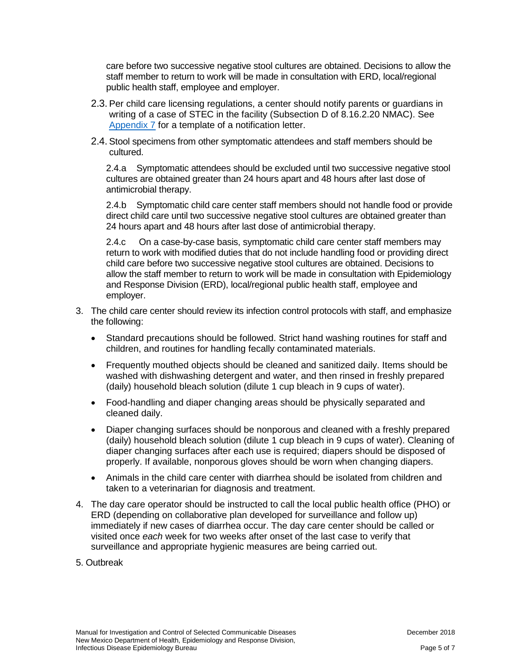care before two successive negative stool cultures are obtained. Decisions to allow the staff member to return to work will be made in consultation with ERD, local/regional public health staff, employee and employer.

- 2.3. Per child care licensing regulations, a center should notify parents or guardians in writing of a case of STEC in the facility (Subsection D of 8.16.2.20 NMAC). See [Appendix 7](https://nmhealth.org/publication/view/general/5155/) for a template of a notification letter.
- 2.4. Stool specimens from other symptomatic attendees and staff members should be cultured.

2.4.a Symptomatic attendees should be excluded until two successive negative stool cultures are obtained greater than 24 hours apart and 48 hours after last dose of antimicrobial therapy.

2.4.b Symptomatic child care center staff members should not handle food or provide direct child care until two successive negative stool cultures are obtained greater than 24 hours apart and 48 hours after last dose of antimicrobial therapy.

2.4.c On a case-by-case basis, symptomatic child care center staff members may return to work with modified duties that do not include handling food or providing direct child care before two successive negative stool cultures are obtained. Decisions to allow the staff member to return to work will be made in consultation with Epidemiology and Response Division (ERD), local/regional public health staff, employee and employer.

- 3. The child care center should review its infection control protocols with staff, and emphasize the following:
	- Standard precautions should be followed. Strict hand washing routines for staff and children, and routines for handling fecally contaminated materials.
	- Frequently mouthed objects should be cleaned and sanitized daily. Items should be washed with dishwashing detergent and water, and then rinsed in freshly prepared (daily) household bleach solution (dilute 1 cup bleach in 9 cups of water).
	- Food-handling and diaper changing areas should be physically separated and cleaned daily.
	- Diaper changing surfaces should be nonporous and cleaned with a freshly prepared (daily) household bleach solution (dilute 1 cup bleach in 9 cups of water). Cleaning of diaper changing surfaces after each use is required; diapers should be disposed of properly. If available, nonporous gloves should be worn when changing diapers.
	- Animals in the child care center with diarrhea should be isolated from children and taken to a veterinarian for diagnosis and treatment.
- 4. The day care operator should be instructed to call the local public health office (PHO) or ERD (depending on collaborative plan developed for surveillance and follow up) immediately if new cases of diarrhea occur. The day care center should be called or visited once *each* week for two weeks after onset of the last case to verify that surveillance and appropriate hygienic measures are being carried out.
- 5. Outbreak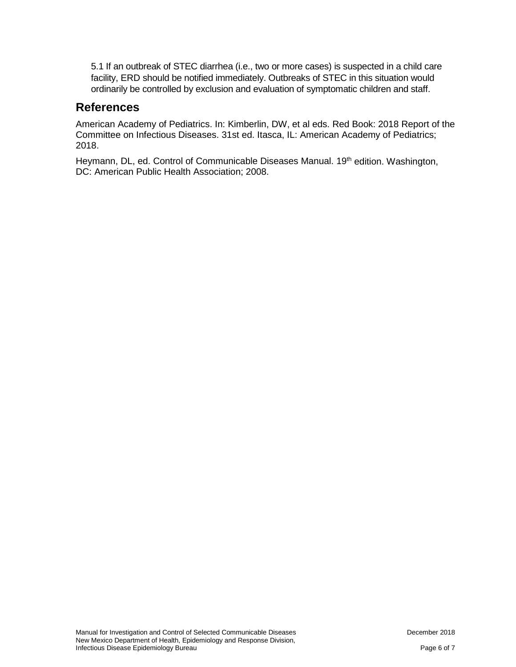5.1 If an outbreak of STEC diarrhea (i.e., two or more cases) is suspected in a child care facility, ERD should be notified immediately. Outbreaks of STEC in this situation would ordinarily be controlled by exclusion and evaluation of symptomatic children and staff.

# **References**

American Academy of Pediatrics. In: Kimberlin, DW, et al eds. Red Book: 2018 Report of the Committee on Infectious Diseases. 31st ed. Itasca, IL: American Academy of Pediatrics; 2018.

Heymann, DL, ed. Control of Communicable Diseases Manual. 19<sup>th</sup> edition. Washington, DC: American Public Health Association; 2008.